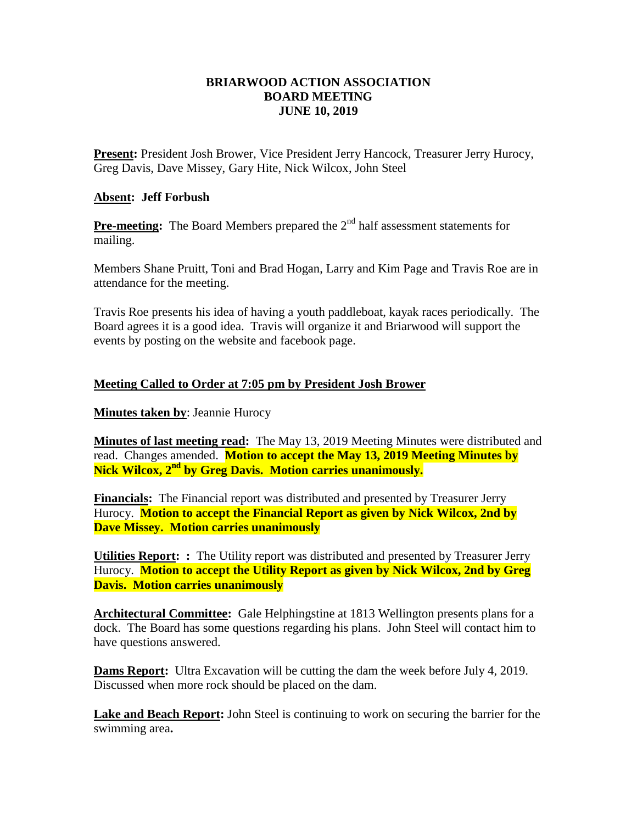## **BRIARWOOD ACTION ASSOCIATION BOARD MEETING JUNE 10, 2019**

**Present:** President Josh Brower, Vice President Jerry Hancock, Treasurer Jerry Hurocy, Greg Davis, Dave Missey, Gary Hite, Nick Wilcox, John Steel

## **Absent: Jeff Forbush**

**Pre-meeting:** The Board Members prepared the 2<sup>nd</sup> half assessment statements for mailing.

Members Shane Pruitt, Toni and Brad Hogan, Larry and Kim Page and Travis Roe are in attendance for the meeting.

Travis Roe presents his idea of having a youth paddleboat, kayak races periodically. The Board agrees it is a good idea. Travis will organize it and Briarwood will support the events by posting on the website and facebook page.

## **Meeting Called to Order at 7:05 pm by President Josh Brower**

## **Minutes taken by**: Jeannie Hurocy

**Minutes of last meeting read:** The May 13, 2019 Meeting Minutes were distributed and read. Changes amended. **Motion to accept the May 13, 2019 Meeting Minutes by Nick Wilcox, 2nd by Greg Davis. Motion carries unanimously.**

**Financials:** The Financial report was distributed and presented by Treasurer Jerry Hurocy. **Motion to accept the Financial Report as given by Nick Wilcox, 2nd by Dave Missey. Motion carries unanimously** 

**Utilities Report: :** The Utility report was distributed and presented by Treasurer Jerry Hurocy. **Motion to accept the Utility Report as given by Nick Wilcox, 2nd by Greg Davis. Motion carries unanimously** 

**Architectural Committee:** Gale Helphingstine at 1813 Wellington presents plans for a dock. The Board has some questions regarding his plans. John Steel will contact him to have questions answered.

**Dams Report:** Ultra Excavation will be cutting the dam the week before July 4, 2019. Discussed when more rock should be placed on the dam.

**Lake and Beach Report:** John Steel is continuing to work on securing the barrier for the swimming area**.**